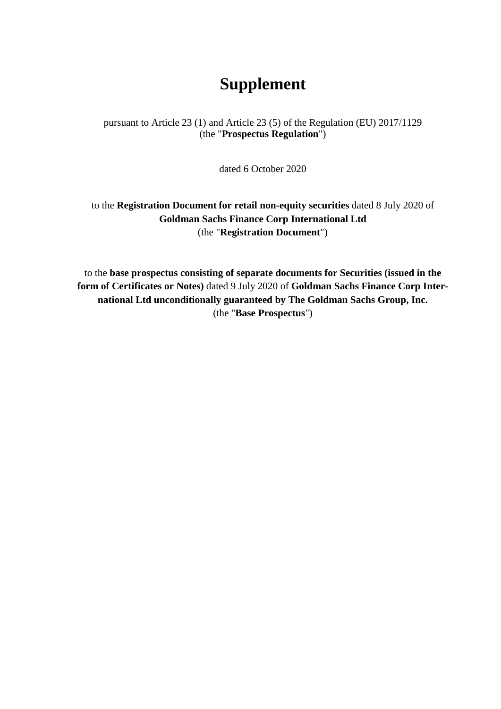## **Supplement**

pursuant to Article 23 (1) and Article 23 (5) of the Regulation (EU) 2017/1129 (the "**Prospectus Regulation**")

dated 6 October 2020

to the **Registration Document for retail non-equity securities** dated 8 July 2020 of **Goldman Sachs Finance Corp International Ltd**  (the "**Registration Document**")

to the **base prospectus consisting of separate documents for Securities (issued in the form of Certificates or Notes)** dated 9 July 2020 of **Goldman Sachs Finance Corp International Ltd unconditionally guaranteed by The Goldman Sachs Group, Inc.** (the "**Base Prospectus**")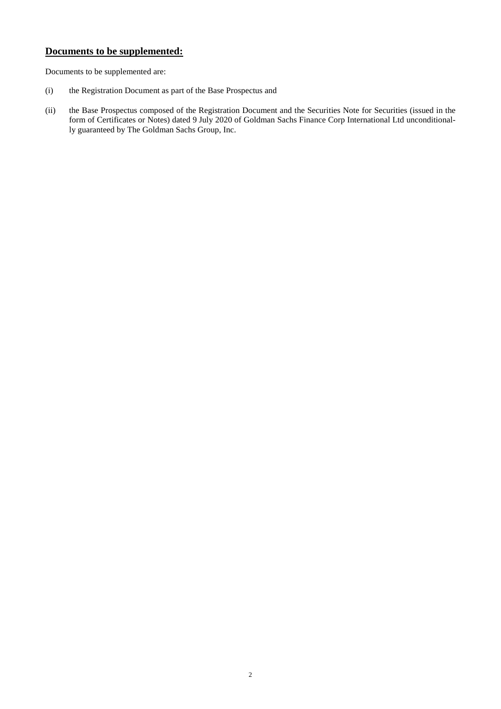## **Documents to be supplemented:**

Documents to be supplemented are:

- (i) the Registration Document as part of the Base Prospectus and
- (ii) the Base Prospectus composed of the Registration Document and the Securities Note for Securities (issued in the form of Certificates or Notes) dated 9 July 2020 of Goldman Sachs Finance Corp International Ltd unconditionally guaranteed by The Goldman Sachs Group, Inc.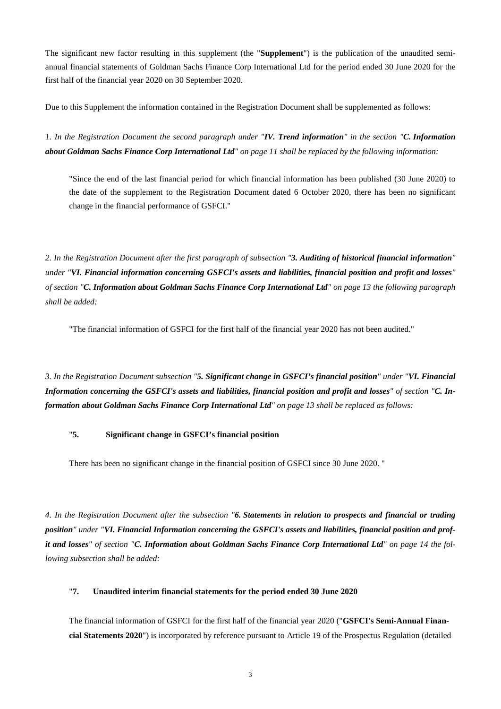The significant new factor resulting in this supplement (the "**Supplement**") is the publication of the unaudited semiannual financial statements of Goldman Sachs Finance Corp International Ltd for the period ended 30 June 2020 for the first half of the financial year 2020 on 30 September 2020.

Due to this Supplement the information contained in the Registration Document shall be supplemented as follows:

*1. In the Registration Document the second paragraph under "IV. Trend information" in the section "C. Information about Goldman Sachs Finance Corp International Ltd" on page 11 shall be replaced by the following information:* 

"Since the end of the last financial period for which financial information has been published (30 June 2020) to the date of the supplement to the Registration Document dated 6 October 2020, there has been no significant change in the financial performance of GSFCI."

*2. In the Registration Document after the first paragraph of subsection "3. Auditing of historical financial information" under "VI. Financial information concerning GSFCI's assets and liabilities, financial position and profit and losses" of section "C. Information about Goldman Sachs Finance Corp International Ltd" on page 13 the following paragraph shall be added:*

"The financial information of GSFCI for the first half of the financial year 2020 has not been audited."

*3. In the Registration Document subsection "5. Significant change in GSFCI's financial position" under "VI. Financial Information concerning the GSFCI's assets and liabilities, financial position and profit and losses" of section "C. Information about Goldman Sachs Finance Corp International Ltd" on page 13 shall be replaced as follows:* 

## "**5. Significant change in GSFCI's financial position**

There has been no significant change in the financial position of GSFCI since 30 June 2020. "

*4. In the Registration Document after the subsection "6. Statements in relation to prospects and financial or trading position" under "VI. Financial Information concerning the GSFCI's assets and liabilities, financial position and profit and losses" of section "C. Information about Goldman Sachs Finance Corp International Ltd" on page 14 the following subsection shall be added:* 

## "**7. Unaudited interim financial statements for the period ended 30 June 2020**

The financial information of GSFCI for the first half of the financial year 2020 ("**GSFCI's Semi-Annual Financial Statements 2020**") is incorporated by reference pursuant to Article 19 of the Prospectus Regulation (detailed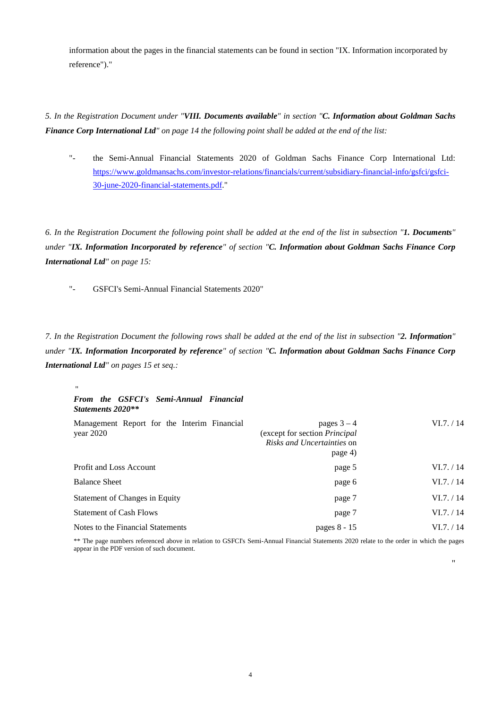information about the pages in the financial statements can be found in section "IX. Information incorporated by reference")."

*5. In the Registration Document under "VIII. Documents available" in section "C. Information about Goldman Sachs Finance Corp International Ltd" on page 14 the following point shall be added at the end of the list:* 

["-](http://-/) the Semi-Annual Financial Statements 2020 of Goldman Sachs Finance Corp International Ltd: [https://www.goldmansachs.com/investor-relations/financials/current/subsidiary-financial-info/gsfci/gsfci-](https://www.goldmansachs.com/investor-relations/financials/current/subsidiary-financial-info/gsfci/gsfci-30-june-2020-financial-statements.pdf)[30-june-2020-financial-statements.pdf."](https://www.goldmansachs.com/investor-relations/financials/current/subsidiary-financial-info/gsfci/gsfci-30-june-2020-financial-statements.pdf) 

*6. In the Registration Document the following point shall be added at the end of the list in subsection "1. Documents" under "IX. Information Incorporated by reference" of section "C. Information about Goldman Sachs Finance Corp International Ltd" on page 15:* 

["-](http://-/) GSFCI's Semi-Annual Financial Statements 2020"

*7. In the Registration Document the following rows shall be added at the end of the list in subsection "2. Information" under "IX. Information Incorporated by reference" of section "C. Information about Goldman Sachs Finance Corp International Ltd" on pages 15 et seq.:* 

| $\mathbf{H}$                                                |                                                                                              |            |
|-------------------------------------------------------------|----------------------------------------------------------------------------------------------|------------|
| From the GSFCI's Semi-Annual Financial<br>Statements 2020** |                                                                                              |            |
| Management Report for the Interim Financial<br>year $2020$  | pages $3-4$<br>(except for section Principal<br><i>Risks and Uncertainties on</i><br>page 4) | VI.7. / 14 |
| Profit and Loss Account                                     | page 5                                                                                       | VI.7. / 14 |
| <b>Balance Sheet</b>                                        | page 6                                                                                       | VI.7. / 14 |
| Statement of Changes in Equity                              | page 7                                                                                       | VI.7. / 14 |
| <b>Statement of Cash Flows</b>                              | page 7                                                                                       | VI.7. / 14 |
| Notes to the Financial Statements                           | pages 8 - 15                                                                                 | VI.7. / 14 |

\*\* The page numbers referenced above in relation to GSFCI's Semi-Annual Financial Statements 2020 relate to the order in which the pages appear in the PDF version of such document.

"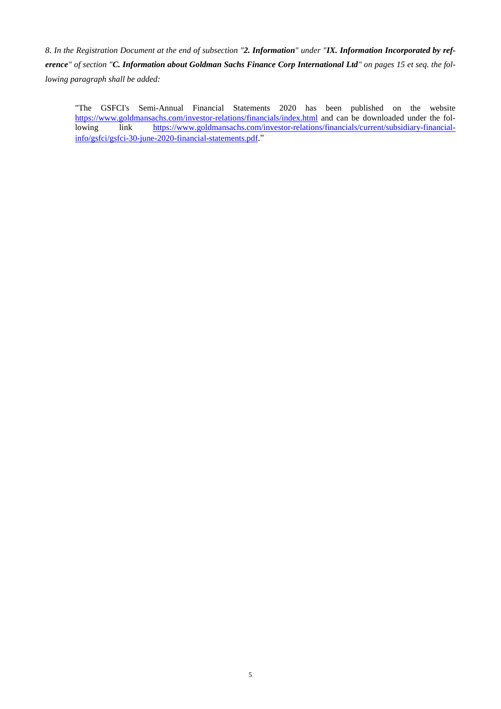*8. In the Registration Document at the end of subsection "2. Information" under "IX. Information Incorporated by reference" of section "C. Information about Goldman Sachs Finance Corp International Ltd" on pages 15 et seq. the following paragraph shall be added:* 

"The GSFCI's Semi-Annual Financial Statements 2020 has been published on the website <https://www.goldmansachs.com/investor-relations/financials/index.html>and can be downloaded under the following link [https://www.goldmansachs.com/investor-relations/financials/current/subsidiary-financial](https://www.goldmansachs.com/investor-relations/financials/current/subsidiary-financial-info/gsfci/gsfci-30-june-2020-financial-statements.pdf)[info/gsfci/gsfci-30-june-2020-financial-statements.pdf](https://www.goldmansachs.com/investor-relations/financials/current/subsidiary-financial-info/gsfci/gsfci-30-june-2020-financial-statements.pdf)."